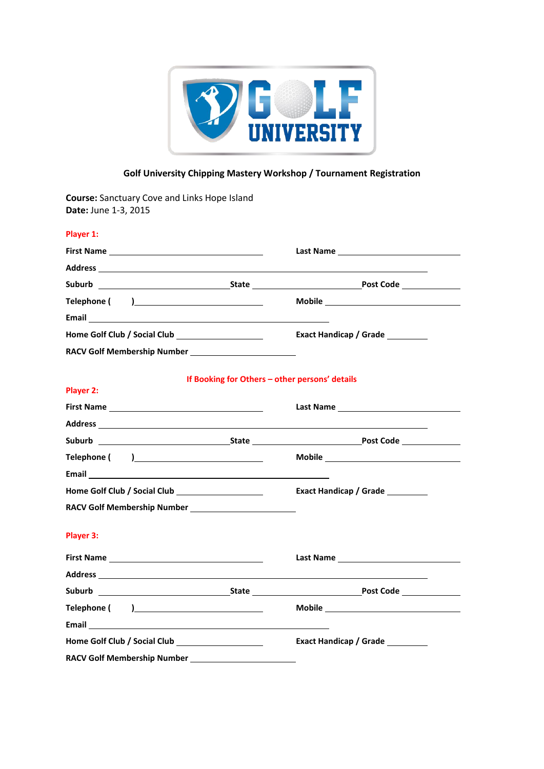

## **Golf University Chipping Mastery Workshop / Tournament Registration**

**Course:** Sanctuary Cove and Links Hope Island **Date:** June 1-3, 2015

| Player 1:                                                                                                                                                                                                                      |                                                |                                                                                                                                                                                                                                |
|--------------------------------------------------------------------------------------------------------------------------------------------------------------------------------------------------------------------------------|------------------------------------------------|--------------------------------------------------------------------------------------------------------------------------------------------------------------------------------------------------------------------------------|
|                                                                                                                                                                                                                                |                                                | Last Name and the contract of the contract of the contract of the contract of the contract of the contract of the contract of the contract of the contract of the contract of the contract of the contract of the contract of  |
|                                                                                                                                                                                                                                |                                                |                                                                                                                                                                                                                                |
|                                                                                                                                                                                                                                |                                                |                                                                                                                                                                                                                                |
|                                                                                                                                                                                                                                |                                                |                                                                                                                                                                                                                                |
|                                                                                                                                                                                                                                |                                                |                                                                                                                                                                                                                                |
|                                                                                                                                                                                                                                |                                                | Exact Handicap / Grade                                                                                                                                                                                                         |
|                                                                                                                                                                                                                                |                                                |                                                                                                                                                                                                                                |
|                                                                                                                                                                                                                                | If Booking for Others - other persons' details |                                                                                                                                                                                                                                |
| Player 2:                                                                                                                                                                                                                      |                                                |                                                                                                                                                                                                                                |
|                                                                                                                                                                                                                                |                                                |                                                                                                                                                                                                                                |
| Address and the contract of the contract of the contract of the contract of the contract of the contract of the                                                                                                                |                                                |                                                                                                                                                                                                                                |
|                                                                                                                                                                                                                                |                                                | Suburb <b>State</b> State <b>State</b> Post Code                                                                                                                                                                               |
|                                                                                                                                                                                                                                |                                                | Mobile Mobile and the state of the state of the state of the state of the state of the state of the state of the state of the state of the state of the state of the state of the state of the state of the state of the state |
|                                                                                                                                                                                                                                |                                                |                                                                                                                                                                                                                                |
|                                                                                                                                                                                                                                |                                                | Exact Handicap / Grade                                                                                                                                                                                                         |
|                                                                                                                                                                                                                                |                                                |                                                                                                                                                                                                                                |
| Player 3:                                                                                                                                                                                                                      |                                                |                                                                                                                                                                                                                                |
|                                                                                                                                                                                                                                |                                                |                                                                                                                                                                                                                                |
|                                                                                                                                                                                                                                |                                                |                                                                                                                                                                                                                                |
|                                                                                                                                                                                                                                |                                                |                                                                                                                                                                                                                                |
|                                                                                                                                                                                                                                |                                                |                                                                                                                                                                                                                                |
| Email experience and the contract of the contract of the contract of the contract of the contract of the contract of the contract of the contract of the contract of the contract of the contract of the contract of the contr |                                                |                                                                                                                                                                                                                                |
|                                                                                                                                                                                                                                |                                                | Exact Handicap / Grade                                                                                                                                                                                                         |
|                                                                                                                                                                                                                                |                                                |                                                                                                                                                                                                                                |